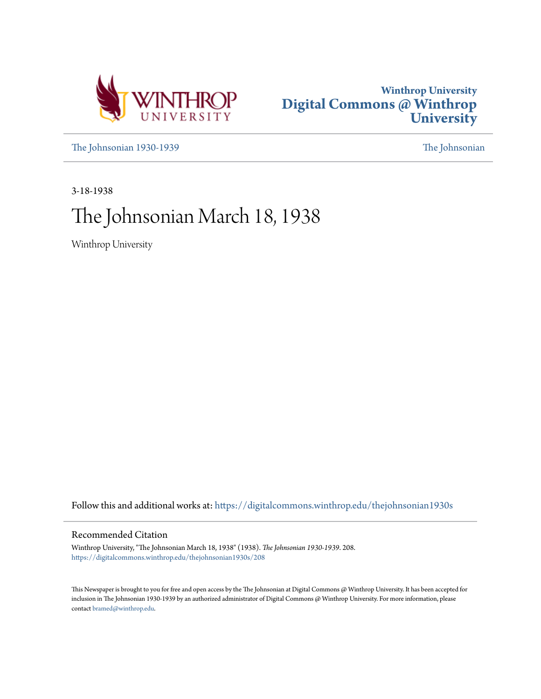



[The Johnsonian 1930-1939](https://digitalcommons.winthrop.edu/thejohnsonian1930s?utm_source=digitalcommons.winthrop.edu%2Fthejohnsonian1930s%2F208&utm_medium=PDF&utm_campaign=PDFCoverPages) [The Johnsonian](https://digitalcommons.winthrop.edu/thejohnsonian_newspaper?utm_source=digitalcommons.winthrop.edu%2Fthejohnsonian1930s%2F208&utm_medium=PDF&utm_campaign=PDFCoverPages)

3-18-1938

## The Johnsonian March 18, 1938

Winthrop University

Follow this and additional works at: [https://digitalcommons.winthrop.edu/thejohnsonian1930s](https://digitalcommons.winthrop.edu/thejohnsonian1930s?utm_source=digitalcommons.winthrop.edu%2Fthejohnsonian1930s%2F208&utm_medium=PDF&utm_campaign=PDFCoverPages)

## Recommended Citation

Winthrop University, "The Johnsonian March 18, 1938" (1938). *The Johnsonian 1930-1939*. 208. [https://digitalcommons.winthrop.edu/thejohnsonian1930s/208](https://digitalcommons.winthrop.edu/thejohnsonian1930s/208?utm_source=digitalcommons.winthrop.edu%2Fthejohnsonian1930s%2F208&utm_medium=PDF&utm_campaign=PDFCoverPages)

This Newspaper is brought to you for free and open access by the The Johnsonian at Digital Commons @ Winthrop University. It has been accepted for inclusion in The Johnsonian 1930-1939 by an authorized administrator of Digital Commons @ Winthrop University. For more information, please contact [bramed@winthrop.edu](mailto:bramed@winthrop.edu).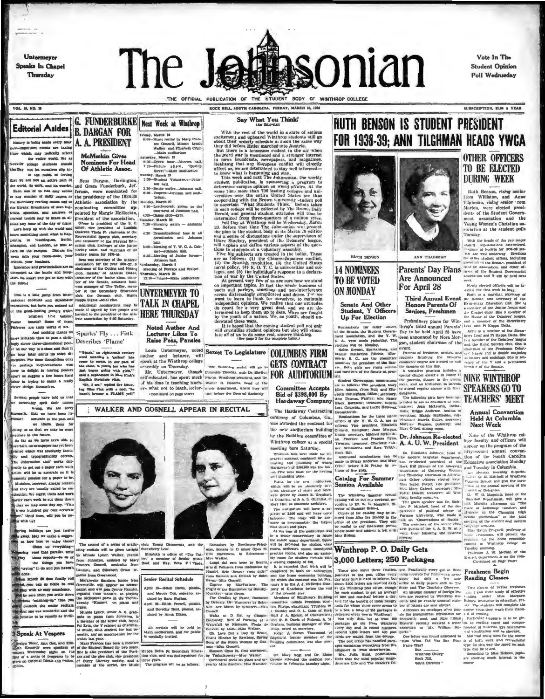Untermeyer **Speaks In Chapel** Thursday

# The J **Hipsonian**

Vote In The **Student Opinion** Poll Wednseday

SUBSCRIPTION, \$1.00 A YEAR

VOL. 18, NO. 19

**Editorial Asides** 

History is being made every hour A. A. PRESIDENT sportant events are tak which may radically affect proce waters stay redically affect<br>the entire world. We as<br>News Of college students should<br>the Day not les ourselves slip in-<br>that we to the bakis of feeling

we are not an active part of

ikat we are not an active part of <br>Beas Durgen, Durlington, 2:39-30<br/>adomic viewer, and the word, its word and the second form of the<br/> $z$  -particle and the second results on a maximum interpreted<br/>the  $z$  and  $\$ 

gly clever three-dime on our way to a class and find it hour later minus its third distances hour later minus its third distances.<br>The perhaps hisplographical who are perhaps hisplographical who are the control position of the suggest a few hours had us its third dior in trying to make a really

Several people have told us that synchably spell their names<br>wrong. We are sorry<br>e1t, that we have been in-

urate in the future. ted which was absolutely factu

" Until then, will you be pe with us?

away. May we make a sugges-

as how best to enjoy them?<br>
The arcord of a series of gradu-, eiub. Young Democrats, and the Echine press and parallel, with real and press temperature and the price in the control of the control of the control of the con

McMeekin Gives Nominees For Head<br>Of Athletic Assoc.

**B. DARGAN FOR** 

osturasy, March 19<br>
2:50—Opera houx—Johnson Hall.<br>
1:39—Picture above, "Quality Burett"—Bais nuditorium<br>
Burett"—Bais nuditorium<br>
Sunday, March 20<br>
2:30—Student Volunitee, Shin-<br>
2:30—Sculor coffee—Johnson hall.<br>
2:30—Scul Bess Durgan, Darlington,

G. FUNDERBURKE Next Week at Winthrop

Friday, March III

-Main audi Lorium

ay, March 19

And nothing makes us<br>
And notation is pass a structure of Sparks' Fly . . . Fink<br>
clever three-dimensional post-<br>
Describes 'Flame'

accurate in the past and and accurate an unique form of the same of the same of the same of the same of the same of the same of the same of the same of the same of the same of the same of the same of the same of the same of the same of the same of

As far as we have teen able to aln, no newspaper has yet been and typographically correct. ntly to get out a paper earh week<br>hiet will be sa accurate as it is<br>manly possible for a paper to be. takes, however, always remain they are usually called to our ntion, We regret them and work<br>der each week to cut them down that we may some day say, "This one hundred per cent securate

ng holidays are just twel

Hence the second the second of the present on pulse and the second of the second of the second of the second of the second of the second of the second of the second of the second of the second of the second of the second

anll.<br>2:30-Senior coffee-John<br>6:30-Vespera-John

March 18<br>Concellation Mary Frances<br>Concell, Minnie Lynch<br>Walker, and Flisabeth Crum

ROCK HILL, SOUTH CAROLINA, PRIDAY, MARCH IS, 1938 Say What You Think!

THE OFFICIAL PUBLICATION OF THE STUDENT BODY OF WINTHROP COLLEGE

Say What You Think!<br>
With the rest of the world in a state of serious<br>
use thement and apheavel vinthrom students still go<br>
useful their orderly schedule in much the same way<br>
useful defore this peninsipal calculate in th



RUTH BENSON

# **14 NOMINEES**

**OTHER OFFICERS** TO BE ELECTED **DURING WEEK** 

Ruth Benson, rising senior from Williston, and Anne<br>Tilghman, rising senior rom<br>Murion, were elected presi-<br>dents of the Student Government association and the Young Women's Christian as-

The state of the student police Theorem Care and the student police the studies of the state of the state of the state of the state of the state of the state of the state of the state of the state of the state of the state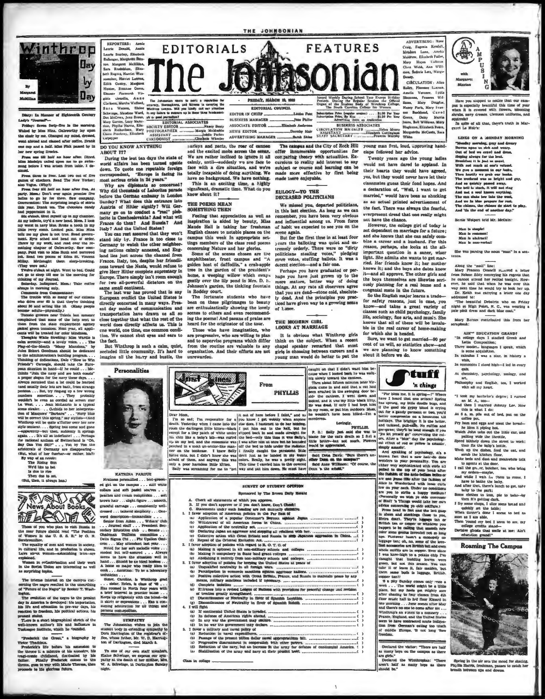

Diary: In Manner of Eighteenth Century

riday: Seven forty-five in the same<br>had by Mins Nina. Caleworthy lay ay ap the chair by me. Changed my mind, dressed,<br>went abroad and classed after coffee. Drank one cap and a half. Mes Fink passed by in new spring liveries.

ew spang areas.<br>Madelyn called an hour after. Dined.<br>Madelyn called upon me to go swim-<br>before I was arisen from table. I de-

dimid. Press, three is from Louis two out of five games of chackers. Read The New Yorker; and Segment (El halo Yogun, (Why)) and halo Yogun, (Why)) party. As in the press, the party of mean of party. Hence, the first const telle mo<br/> mor glass in out true. Read gevern-<br>ment. Eyes ached and head out of order. There by my work, and read over the relationships chapter of Osloworthy. Saw company, Psid visit to Min Studies Stillay. Ale<br>theore

 $\frac{1}{2}$ morning only.

 $\alpha$ The trouble with so many of our citis

o drive over 60 is that they're thinking<br>ut 30 and acting like 10. Odasy people

9 Gave was considered in the U.C. Oblasty proper solution physically<br>become solution-physically become formula graphs from<br>the frame of the base of the belt powers are reached and solution from<br>the first state of the belt ₩

Jules Eckert Goodman should be dedi-Julie Rebrit Geofrant abrodita pregnam.<br>
10 to the administration's building program....<br>
Thinking of defications, Dable (There to Win<br>
Thinking of defications, Dable (There to Win<br>
Prima situation in Pancel -10 recepts, wemants he even as corons as screen at<br>La West.....Jean McLaurin is a typic<br>seme stealer....Ochids to her interpret<br>tion of Masquers' "Barbara".... "Navy bl vill be correct this spring," say stylist rop will be quite a'flutter over her new what<br>anylo equile equite line diffusive over her new and gone and gone<br> $-\epsilon$ <br>poarently-but then, suddenly it springs<br>again.... This all no indefinite .... Perhaps<br>the middenla candom of Switzerland is "On, by the the<br>Say C

way of an rev<br>The Rising dng Bon

Ne'd like to bet<br>In due to rise<br>Then due to me,<br>But, then, it always hand



nose of you who plan to visit Russia in<br>mear future should read "The Position

The equality of men and women in society,<br>a cultural life, and in producton is shown. in cultural life, and in pro Laws sb

passed.<br>Women in collectivisation and their work<br>the Soviat Union are interesting as well

The intense interest on the campus con-<br>stuing the negro resulted in the uncarthing<br>f "Puture of the Negro" by Rooter T. Washof "Puty

Ington.<br>The evolution of the negro to the present<br>day in America is developed: his importation,<br>his life and education in pre-war days, his<br>reaction to freedom, his political actions, his

resunt status.<br>There is a stort biographical sketch of the<br>reli-known author's life and influstre in<br>fuskingee institute, which he "ounded.

ederick the Great." a biography by recented<br>C That

Vietor The<br>ddeux. Free before his assembled to Frederick's life before it a mixture of his ancestry, his rang-comic child<br>hood, clearing the childhood, clearing the historical by his<br>failur. Framily Frederick comes to the



**REPORTERS:** Amai

The Johnsonian masts to merit a reputation for<br>eccurrery, thoroughness, and fairness in cavering the<br>Winterop campus. Will you hindly call our attention<br>In any failure to measure up in these three fundament-

parleys and pacts, the roar of cannot<br>and the excited mobs across the ecchant.<br>We are rather inclined to ignore it all<br>calmly, until—suddenly we are face to<br>face with a dire situation, and we're<br>totally ineapable of doing

have no background. We have nothing.

This is an exciting time, a highly significant, dramatic time. What do you

Feeling that appreciation as well as<br>inspiration is aided by beauty, Miss<br>Maude Hall is taking her freshman

English classes to notable places on the

tings members of the class read poems tings manuers of the cause cau poems<br>concerning Nature and her glories.<br>Some of the scenes chosen are the<br>amplifibeater, front campus and "A<br>golden host of daffodils," a crab-apple

tree in the garden of the president's<br>home, a weeping willow which sways

gently over the lily pond in Mrs. D. E.<br>Johnson's garden, the tinkling fountain<br>in Roddey court.

been on these pilgrimages to beauty<br>are enthusiastically showing the lovely

ing the poems! And passas of praise are

Those whe have imagination, who<br>reprogressive, who are willing to plan

heard for the originator of the tour.

scenes to others and even recon

**Anst Adness** 

The fortunate students who have

campus this weak In appropriate a

know about it?

THE PORMS MRAN

**SOMETHING THEN** 

Sara Wason, Elaise wason, inter a conservator of year<br>Schwang, Musdies Ward, in any talent to measure to be identicant<br>Mark Caren, i.e. any talent to measure the Mark Points, any talent<br>Mark Caren, i.e., the set permit EDI EDITORIAL ASSOCIATES Charlotte Wheeler ADVERTISING MAMAGER

DO YOU KNOW ANYTHING ABOUT IT?

ABOUT ITT INTERFACE CONTROL DEVICE THE SUPERVISHED CONTROL CONTROL CONTROL CONTROL CONTROL CONTROL CONTROL CONTROL TO THE CONTROL CONTROL CONTROL CONTROL CONTROL CONTROL CONTROL CONTROL CONTROL CONTROL CONTROL CONTROL CONT

Why are diplomats ao concerned?<br>Why did thousands of Laborites parade before the German of masouries<br>Sunday? What does this entran hasay in London ce into Austria of Hitler signify? Will Ger-Austria of ritter signary "win one-<br>many go on to conduct a "real" pleb-<br>iscite is Czechoslovakia? And what will<br>France do then? And Russia? And

Italy? And the United States? You can rest assured that they won't stand idly by. France is too close to Germany to watch the other neighbor-<br>ing nations calmly annexed, and Eng-<br>land lies just across the channel from France. Italy, too, despite her friendliness toward the Nasis, would refuse to give Herr Hitler complete supremacy in Europe. There simply isn't room enough<br>for two all-powerful dictators on the same small continent.<br>The last war has proved that in any

The last war has proved that us any control of European conflict the United States is<br>directly concerned in many ways. Present day modes of communication and<br>transportation are drawn us all so<br>close together that what the world does directly affects us. This is che world, one time, one common condi-<br>tion. We cannot sbut eyes and ears to

and to supervise programs which differ the fact. and to supervise properties of any But Winthrop is such a calm, quiet, organization. And their efforts are a sectuded little community. It's hard to imagine all the hurry and bustle, the unrewardeu.



### **KATRINA PARDUE**

Nextmens permutation ... best-groom-<br>ed girl on the campus ... still white<br>collars and soft pastel scarves . . .<br>peaches and evean complexion ... soft brown hair . . . alight figure . . . sm graceful carriage . . . consistently well-<br>dressed . . . tailored simplicity . . . Oneon as intim\_imment

Sala roomers in reveal in practice boome ...<br>
A brief interval in practice boome ...<br>
Keeps up religiously with the labest---be<br>
It skirts or expressions . . . Has a con-<br>
suming admiration for all things and<br>  $\frac{1}{2}$ 

The Johnson<br>and Hard and Hard and the state of the registrar's of-<br>tuest body in extending sympathy to<br>be Nine father, Mr. VI, D. Harrington, died March 8.<br>The contraction of Darlington, died March 8. tem of Travit

To one of our own staff membe Elaine Schwinge, we exprass our sympathy at the death of her mother, Mrs. W. A. Schwinge, in Devil and THE JOHNSONIAN



parleys and pacts, the roar of cannon The camera and the City of Rock Hill young man first, loud, upproving handoffer innumerable opportunities for cursions to reality add interest to any subject or course and learning can be made more effective by first being made toere enjoyable.

## EULOGY-TO THE<br>DECEASED POLITICIANS

We missed you, departed politicians,<br>in this last election. As long as we can member, you have been very obvious<br>d influential among us. From force of habit we expected to see you on the

But for the first time in at least four ours are the balloting was quick and ex-<br>tremely orderly. There were no "dirty<br>politicians stealing votes," pledging<br>mare votes, stuffing ballots. It was a decent ejection-and a fair one.

Perhaps you have graduated or 1 haps you have just grown up to the more mature, better way of doing things. At any rate all observers agree<br>that you are dead-stone cold, absolute  $l$ y de d. And the principles you pracd have given way to a growing a th of Lattor.

THE MODERN GIRE

**LOOKS AT MARRIAGE** 

It is obvious what Winthrop girls<br>think on the subject. When a recent<br>chapel speaker remarked that most<br>grip is choosing between careers and a<br>young man would do better to put the

example on that I didn't want him be-<br>cause when I looked back he was well-<br>into more the cause when I looked back he was well-<br>Then shout fifteen minutes later Vir-<br>grain cause in and said that is extinct<br>been cruded in

Baid Drina Davis: "Sure there's an other Dren, on the sampas?"<br>| Said Anne Willimon: "Of course, the near we the school."

**SURVEY OF STUDENT OPINION** 

From

**PHYLLIS** 

Sponsored by The Brown Daily Herald  $\mathbf{a}$  $2.76$ ż, Dis-4. I will fight the continental United States is invaded. ...  $\binom{a}{b}$ 

(a) If continents<br>a University Professor in transferse continues of American Higher stretch<br> $\sim$  10 any var the government map decleared<br> $\sim$  -continues (4) In no war the government map decleared<br> $\sim$  -continues (4) In no

- 
- 
- 

Class in college ...

claps followed her advice.

nasay,<br>Siminan<br>Biama,<br>Biama,

m.<br>M

ADVERTISING: Ro

Craig, Eugenia Kendall,<br>Méndors Lunn, Amelia<br>Muldrow, Elizabeth Fuller  $\mathbf{g}_i$ .<br>Matu

Mary Hayes Calhoun<br>Clara Webb, Ann Willi

were, Ann Will<br>mon, Sederia Lott, Marg<br>Denste,

CIRCULATION: Alic Bailey, Flo

liams, Mary Douglas<br>Namy Paris, Mary Fran

ace Linson

Veronee, Luxum<br>Margaren Wil-<br>Mary Douglas,

Twenty years ago the young ladies would not have dared to applaud. In their hearts they would have agreed, yes, but they would never have let their classmates guess their fond hones. And a declaration of, "Well, I want to get married," would have been as shocking as an actual printed advertisement of the fact. There was always the fearful. everpresent dread that one really might not have the chance.

However, the college girl of today is<br>not dependent on marriage for a future;<br>and she knows that she can safely combine a career and a husband. For this perhaps, she looks at the all important question in a saner, wiser light. She admits she wants to get married. Her friends know it; her m knows it; and the boys she dates know

it-and all approve. The other girls and<br>the boys themselves are likewise seriously planning for a real home and a congenial mate in the future.

So the English major learns a trade for safety reasons, just in case, you es such as child psychology, far life, s ciology, fine arts, and music. She knows that all of these will be invaluble in the real career of home-making<br>for which she is headed.

Sure, we want to get married-90 per cent of us will, so statistics show vent or us will, so statistics anow-and<br>we are planning to know something<br>about it bafors we do.



"Por bless me, it is spring---" When<br>have I heard that one actors? Spring<br>has sprung, my little doodle bugs, and<br>it the good ole grypy blood is crying<br>out for a gaudy garment or two, you'd<br>better compromise on a houseous t

In py room, or put him coldoors Move, if we have the grows of a bostochar a constant of the specific specific conductions on a bostochar in the specific specific specific specific specific specific specific specific speci are use Jeans fille after the fashion of are asse<br/> Remo Effe alle the Table and Silver Calculus (Michain Calculus Conditions) by<br/> $\mathcal{C}(M)$  and  $\mathcal{C}(M)$  are  $\mathcal{C}(M)$ <br/>and  $\mathcal{C}(M)$  and  $\mathcal{C}(M)$  are the state<br/> $\mathcal{C}(M)$  and  $\mathcal{C}(M)$  and  $\$ 

hoppen to be calling the<br>at massible received and a long control of the figure . Work<br>was a long lumping to make a monopoly on the lumping term of<br>, no, non some of the low-bulking sign of the low-whole could<br>in are in co

therm annew buds in luggraps, British.<br>
Copper tant!<br>
Sa pily Sunday comes only were a<br>
"seek ... The word angle her might) be a little seek ... The word angle<br>in the a little seek ... The word angle is four classes from tion from German's cating too  $\overline{a}$ 

Declared the visitor: "There are half as many boys on the c re girla.

 $\overline{D}$ Declared the Winthropian: "There en't half as many boys as there Phyllis He



Have you siopped to notice that our campus is especially beautiful this time of year<br>when it is covered with Howen, blooming<br>shrubs, may dremes. Clemann uniforms, and<br>annivesk<sup>4</sup> squirrels?<br>- In spite of all that, there's truth in Mar<br>suret Le Moir's:

LINES ON A MONDAY MORNING LINES ON A MONDAY MORN<br>Therma span us she can be and wear, the case of the animal space of<br> $\sim$  0.01 of bed we error! and dress, the<br>plane always for the best window of the space of the space of<br> $\sim$  0.01 and the space of And so quickly passed away,<br>The bell is sizely, it will not ring .<br>And not a soul known any<br>thing.<br>The sun shale leve take the west,<br>And we in blue prepare for rest,<br>And wis the chines, the chines do start to play.<br>And 'ti

Bertle Wolpert told Mr. McCain:

Man is simple!<br>Man is common<br>Man is abstract!<br>Man is non-ver!

She was paraling the nount "man" in a sen-

Along the "mail" line:<br>
Mary Prances Connell re-aved a letter from Nehon Zddy conveyleg his regens that he cannot attend her recital tonlght. However, he said that where he was over this own this way that time he would tr

addressed to: addressed to:<br>
"The beautiful Drbatrix who on Friday<br>
right at High Poirt, N. C., was wearing a<br>
pale pink dress and durk blue coat."

Mary Barnes contributed this from her

AIN'" EDUCATION GRAND?<br>"In college days 1 studied Greek and<br>Latin Composition;<br>Three moder.. inappages 1 speak, which<br>is some acquisition.<br>In calculaus 1 was a star, in history a<br>facebooks 1 was a star, in history a

- whis. ...<br>omies I stood high-I led in every  $\ln$ eco
- quiz. At chemistry, psychology, zoology, and art.

ments<br>Rosophy and English, too, I worked with all my heart.

"I took my bachrlor's degree; 1 earned<br>an M. A., too---<br>And then I married Johnny Lee. Now<br>this is what I do:<br>At 6 a. m. pile out of bed, put on the<br>At 6 a. m. pile out of bed, put on the

coffee pot.<br>Fry ham and eggs and tosst the breadhe likes it piping ho Watch John take out the little car, and

publics wide the threatist, and the state of the state of the state of the state of the state of the state of the state of the state of the state of the state of the state of the state of the state of the state of the sta pulling wide the throttle,

And after the there's limit<br>in order, take the last the path of the path of the path of the last<br>form of the last term of the last term of the last  $\mathbb{R}^n$ <br>parameter of the state of the state and  $\mathbb{R}^n$  and<br> $\mathbb{R}$ 

**Roaming The Campus** 

ð

Spring in the air sets the mood for shating.<br>Itsilik Harvis, freshman, passes to catch her

s, freshman, pause<br>en uns and downs

itin Harris, fa<br>Ah botwaca 1

sts that smile at me: Ain't

Derisive at

edu lon grand!"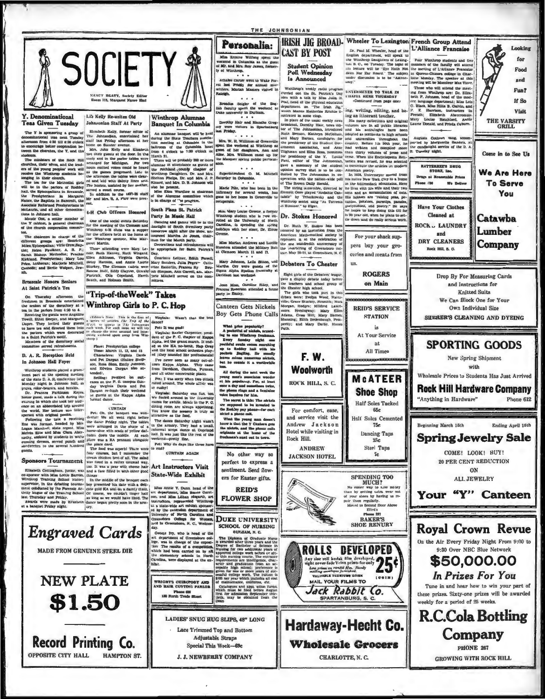